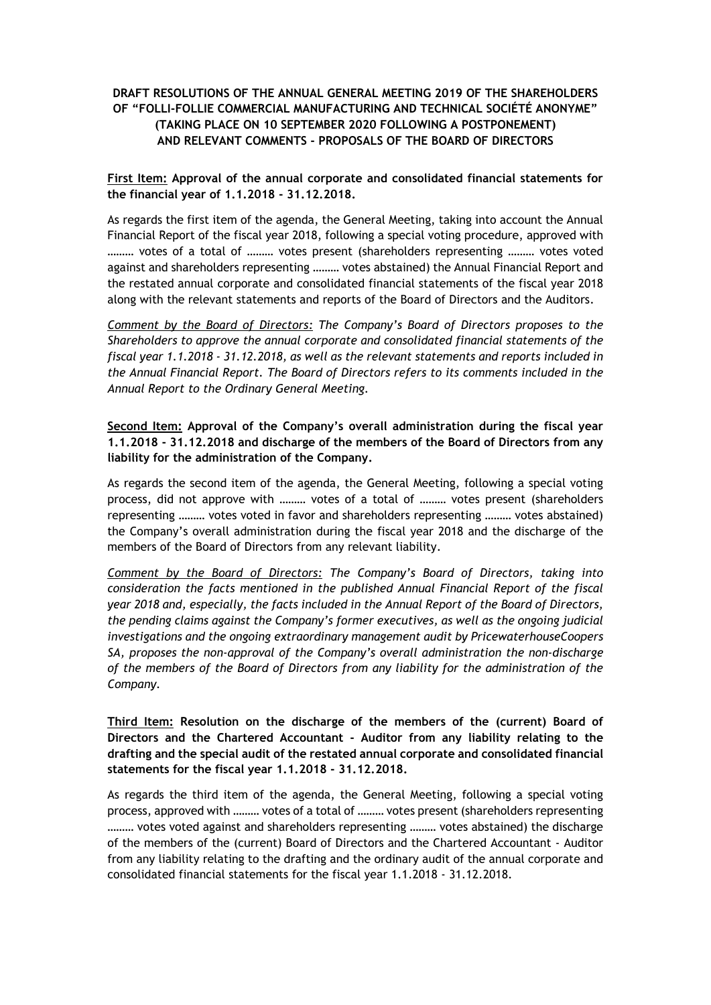# **DRAFT RESOLUTIONS OF THE ANNUAL GENERAL MEETING 2019 OF THE SHAREHOLDERS OF "FOLLI-FOLLIE COMMERCIAL MANUFACTURING AND TECHNICAL SOCIÉTÉ ANONYME" (TAKING PLACE ON 10 SEPTEMBER 2020 FOLLOWING A POSTPONEMENT) AND RELEVANT COMMENTS - PROPOSALS OF THE BOARD OF DIRECTORS**

### **First Item: Approval of the annual corporate and consolidated financial statements for the financial year of 1.1.2018 - 31.12.2018.**

As regards the first item of the agenda, the General Meeting, taking into account the Annual Financial Report of the fiscal year 2018, following a special voting procedure, approved with ……… votes of a total of ……… votes present (shareholders representing ……… votes voted against and shareholders representing ……… votes abstained) the Annual Financial Report and the restated annual corporate and consolidated financial statements of the fiscal year 2018 along with the relevant statements and reports of the Board of Directors and the Auditors.

*Comment by the Board of Directors: The Company's Board of Directors proposes to the Shareholders to approve the annual corporate and consolidated financial statements of the fiscal year 1.1.2018 - 31.12.2018, as well as the relevant statements and reports included in the Annual Financial Report. The Board of Directors refers to its comments included in the Annual Report to the Ordinary General Meeting.*

**Second Item: Approval of the Company's overall administration during the fiscal year 1.1.2018 - 31.12.2018 and discharge of the members of the Board of Directors from any liability for the administration of the Company.**

As regards the second item of the agenda, the General Meeting, following a special voting process, did not approve with ……… votes of a total of ……… votes present (shareholders representing ……… votes voted in favor and shareholders representing ……… votes abstained) the Company's overall administration during the fiscal year 2018 and the discharge of the members of the Board of Directors from any relevant liability.

*Comment by the Board of Directors: The Company's Board of Directors, taking into consideration the facts mentioned in the published Annual Financial Report of the fiscal year 2018 and, especially, the facts included in the Annual Report of the Board of Directors, the pending claims against the Company's former executives, as well as the ongoing judicial investigations and the ongoing extraordinary management audit by PricewaterhouseCoopers SA, proposes the non-approval of the Company's overall administration the non-discharge of the members of the Board of Directors from any liability for the administration of the Company.*

**Third Item: Resolution on the discharge of the members of the (current) Board of Directors and the Chartered Accountant - Auditor from any liability relating to the drafting and the special audit of the restated annual corporate and consolidated financial statements for the fiscal year 1.1.2018 - 31.12.2018.**

As regards the third item of the agenda, the General Meeting, following a special voting process, approved with ……… votes of a total of ……… votes present (shareholders representing ……… votes voted against and shareholders representing ……… votes abstained) the discharge of the members of the (current) Board of Directors and the Chartered Accountant - Auditor from any liability relating to the drafting and the ordinary audit of the annual corporate and consolidated financial statements for the fiscal year 1.1.2018 - 31.12.2018.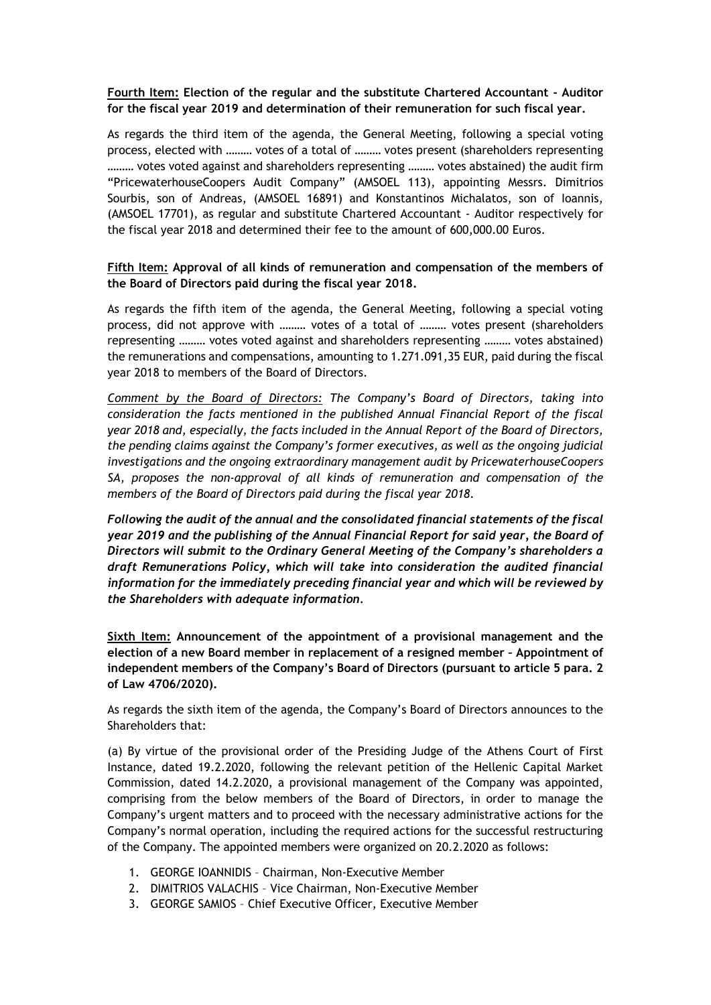#### **Fourth Item: Election of the regular and the substitute Chartered Accountant - Auditor for the fiscal year 2019 and determination of their remuneration for such fiscal year.**

As regards the third item of the agenda, the General Meeting, following a special voting process, elected with ……… votes of a total of ……… votes present (shareholders representing ……… votes voted against and shareholders representing ……… votes abstained) the audit firm "PricewaterhouseCoopers Audit Company" (AMSOEL 113), appointing Messrs. Dimitrios Sourbis, son of Andreas, (AMSOEL 16891) and Konstantinos Michalatos, son of Ioannis, (AMSOEL 17701), as regular and substitute Chartered Accountant - Auditor respectively for the fiscal year 2018 and determined their fee to the amount of 600,000.00 Euros.

#### **Fifth Item: Approval of all kinds of remuneration and compensation of the members of the Board of Directors paid during the fiscal year 2018.**

As regards the fifth item of the agenda, the General Meeting, following a special voting process, did not approve with ……… votes of a total of ……… votes present (shareholders representing ……… votes voted against and shareholders representing ……… votes abstained) the remunerations and compensations, amounting to 1.271.091,35 EUR, paid during the fiscal year 2018 to members of the Board of Directors.

*Comment by the Board of Directors: The Company's Board of Directors, taking into consideration the facts mentioned in the published Annual Financial Report of the fiscal year 2018 and, especially, the facts included in the Annual Report of the Board of Directors, the pending claims against the Company's former executives, as well as the ongoing judicial investigations and the ongoing extraordinary management audit by PricewaterhouseCoopers SA, proposes the non-approval of all kinds of remuneration and compensation of the members of the Board of Directors paid during the fiscal year 2018.*

*Following the audit of the annual and the consolidated financial statements of the fiscal year 2019 and the publishing of the Annual Financial Report for said year, the Board of Directors will submit to the Ordinary General Meeting of the Company's shareholders a draft Remunerations Policy, which will take into consideration the audited financial information for the immediately preceding financial year and which will be reviewed by the Shareholders with adequate information.*

**Sixth Item: Announcement of the appointment of a provisional management and the election of a new Board member in replacement of a resigned member – Appointment of independent members of the Company's Board of Directors (pursuant to article 5 para. 2 of Law 4706/2020).**

As regards the sixth item of the agenda, the Company's Board of Directors announces to the Shareholders that:

(a) By virtue of the provisional order of the Presiding Judge of the Athens Court of First Instance, dated 19.2.2020, following the relevant petition of the Hellenic Capital Market Commission, dated 14.2.2020, a provisional management of the Company was appointed, comprising from the below members of the Board of Directors, in order to manage the Company's urgent matters and to proceed with the necessary administrative actions for the Company's normal operation, including the required actions for the successful restructuring of the Company. The appointed members were organized on 20.2.2020 as follows:

- 1. GEORGE IOANNIDIS Chairman, Non-Executive Member
- 2. DIMITRIOS VALACHIS Vice Chairman, Non-Executive Member
- 3. GEORGE SAMIOS Chief Executive Officer, Executive Member